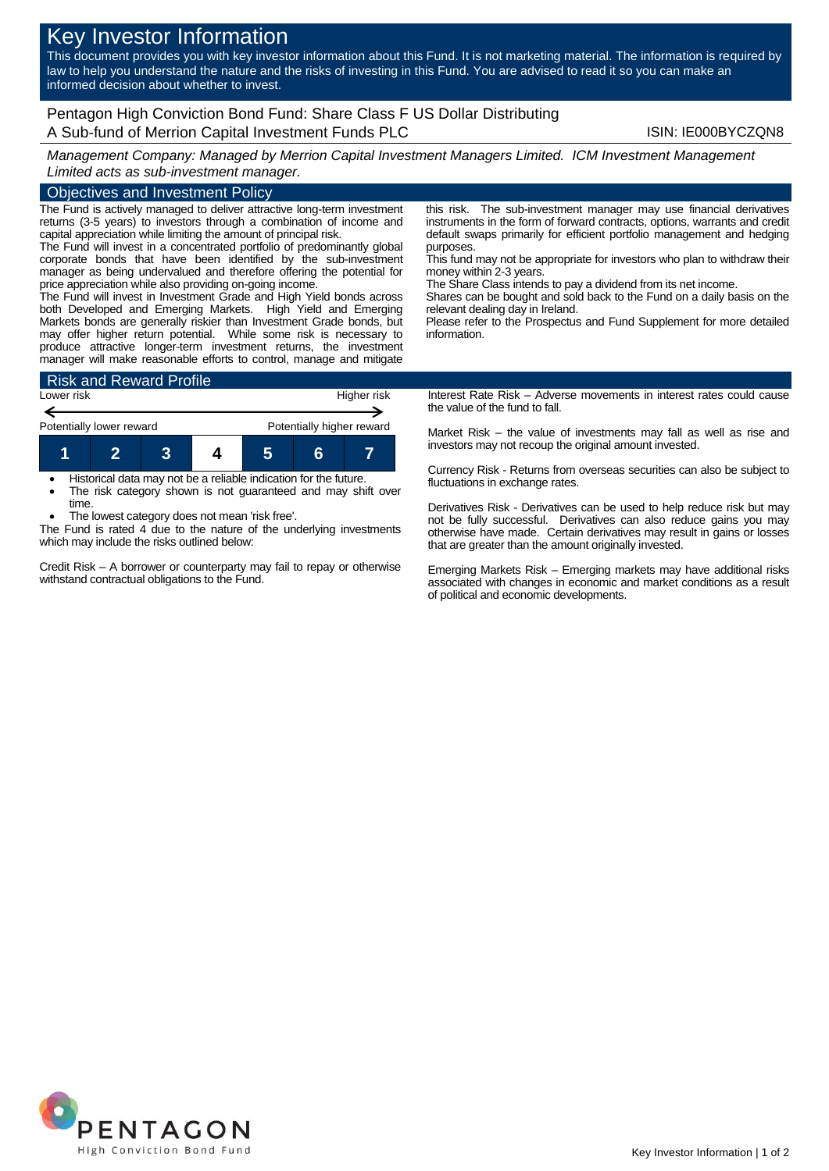# Key Investor Information

This document provides you with key investor information about this Fund. It is not marketing material. The information is required by law to help you understand the nature and the risks of investing in this Fund. You are advised to read it so you can make an informed decision about whether to invest.

Pentagon High Conviction Bond Fund: Share Class F US Dollar Distributing A Sub-fund of Merrion Capital Investment Funds PLC **ISIN: IE000BYCZQN8** 

*Management Company: Managed by Merrion Capital Investment Managers Limited. ICM Investment Management Limited acts as sub-investment manager.*

## Objectives and Investment Policy

The Fund is actively managed to deliver attractive long-term investment returns (3-5 years) to investors through a combination of income and capital appreciation while limiting the amount of principal risk.

The Fund will invest in a concentrated portfolio of predominantly global corporate bonds that have been identified by the sub-investment manager as being undervalued and therefore offering the potential for price appreciation while also providing on-going income.

The Fund will invest in Investment Grade and High Yield bonds across both Developed and Emerging Markets. High Yield and Emerging Markets bonds are generally riskier than Investment Grade bonds, but may offer higher return potential. While some risk is necessary to produce attractive longer-term investment returns, the investment manager will make reasonable efforts to control, manage and mitigate



 Historical data may not be a reliable indication for the future. The risk category shown is not guaranteed and may shift over time.

The lowest category does not mean 'risk free'.

The Fund is rated 4 due to the nature of the underlying investments which may include the risks outlined below:

Credit Risk – A borrower or counterparty may fail to repay or otherwise withstand contractual obligations to the Fund.

this risk. The sub-investment manager may use financial derivatives instruments in the form of forward contracts, options, warrants and credit default swaps primarily for efficient portfolio management and hedging purposes.

This fund may not be appropriate for investors who plan to withdraw their money within 2-3 years.

The Share Class intends to pay a dividend from its net income.

Shares can be bought and sold back to the Fund on a daily basis on the relevant dealing day in Ireland.

Please refer to the Prospectus and Fund Supplement for more detailed information.

Interest Rate Risk – Adverse movements in interest rates could cause the value of the fund to fall.

Market Risk – the value of investments may fall as well as rise and investors may not recoup the original amount invested.

Currency Risk - Returns from overseas securities can also be subject to fluctuations in exchange rates.

Derivatives Risk - Derivatives can be used to help reduce risk but may not be fully successful. Derivatives can also reduce gains you may otherwise have made. Certain derivatives may result in gains or losses that are greater than the amount originally invested.

Emerging Markets Risk – Emerging markets may have additional risks associated with changes in economic and market conditions as a result of political and economic developments.